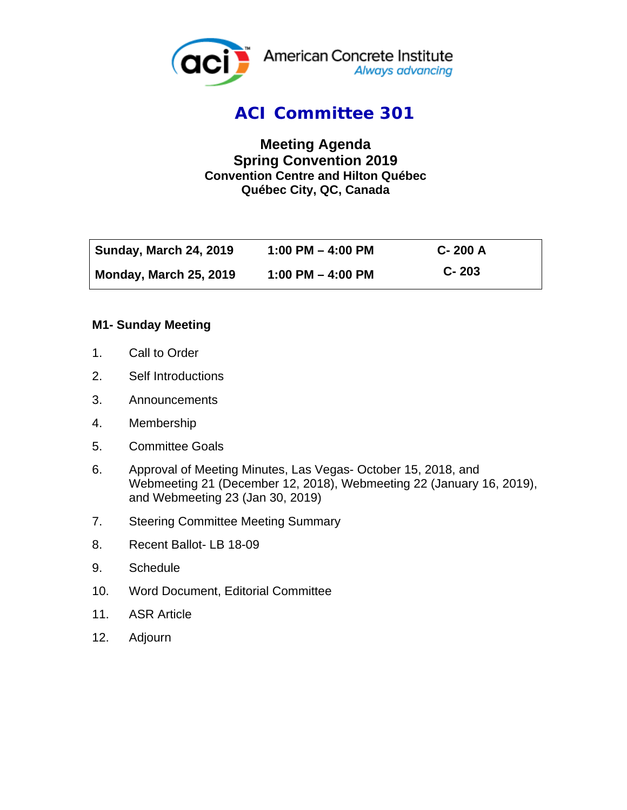

## *ACI Committee 301*

### **Meeting Agenda Spring Convention 2019 Convention Centre and Hilton Québec Québec City, QC, Canada**

| <b>Sunday, March 24, 2019</b> | 1:00 PM $-$ 4:00 PM   | $C - 200A$ |
|-------------------------------|-----------------------|------------|
| <b>Monday, March 25, 2019</b> | $1:00$ PM $-$ 4:00 PM | $C - 203$  |

#### **M1- Sunday Meeting**

- 1. Call to Order
- 2. Self Introductions
- 3. Announcements
- 4. Membership
- 5. Committee Goals
- 6. Approval of Meeting Minutes, Las Vegas- October 15, 2018, and Webmeeting 21 (December 12, 2018), Webmeeting 22 (January 16, 2019), and Webmeeting 23 (Jan 30, 2019)
- 7. Steering Committee Meeting Summary
- 8. Recent Ballot- LB 18-09
- 9. Schedule
- 10. Word Document, Editorial Committee
- 11. ASR Article
- 12. Adjourn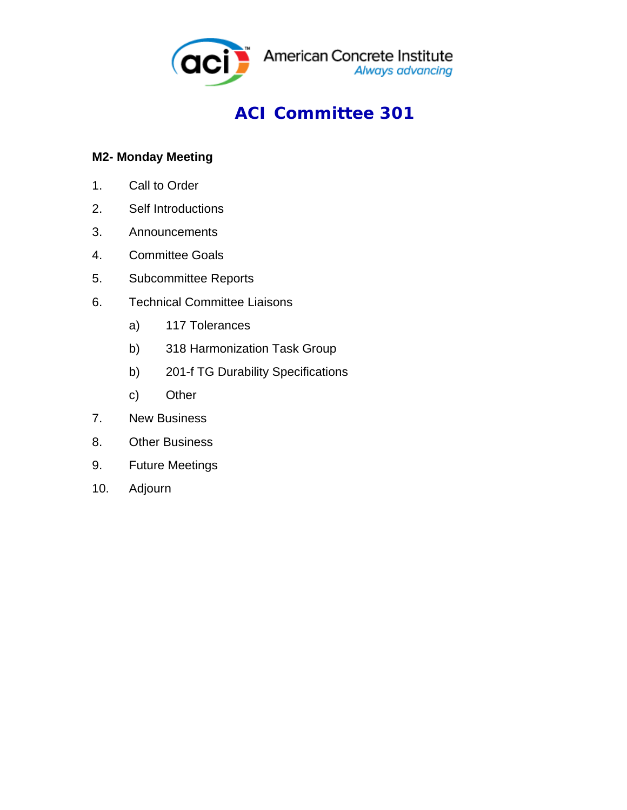

# *ACI Committee 301*

### **M2- Monday Meeting**

- 1. Call to Order
- 2. Self Introductions
- 3. Announcements
- 4. Committee Goals
- 5. Subcommittee Reports
- 6. Technical Committee Liaisons
	- a) 117 Tolerances
	- b) 318 Harmonization Task Group
	- b) 201-f TG Durability Specifications
	- c) Other
- 7. New Business
- 8. Other Business
- 9. Future Meetings
- 10. Adjourn